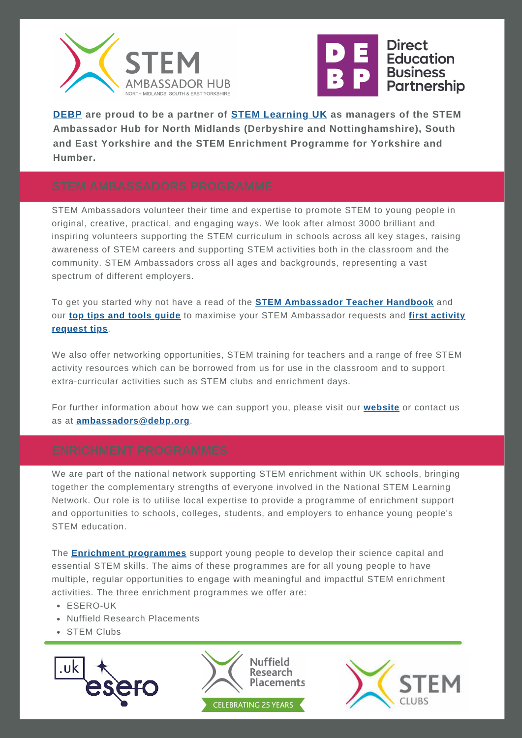



**[DEBP](https://www.debp.org/) are proud to be a partner of STEM [Learning](http://www.stem.org.uk/) UK as managers of the STEM Ambassador Hub for North Midlands (Derbyshire and Nottinghamshire), South and East Yorkshire and the STEM Enrichment Programme for Yorkshire and Humber.**

STEM Ambassadors volunteer their time and expertise to promote STEM to young people in original, creative, practical, and engaging ways. We look after almost 3000 brilliant and inspiring volunteers supporting the STEM curriculum in schools across all key stages, raising awareness of STEM careers and supporting STEM activities both in the classroom and the community. STEM Ambassadors cross all ages and backgrounds, representing a vast spectrum of different employers.

To get you started why not have a read of the **STEM [Ambassador](https://www.stem.org.uk/stem-ambassadors/handbook) Teacher Handbook** and our **top tips and tools [guide](https://www.debp.org/schools/stem-ambassador-hub/)** to maximise your STEM [Ambassador](https://www.debp.org/schools/stem-ambassador-hub/) requests and **first activity request tips**.

We also offer networking opportunities, STEM training for teachers and a range of free STEM activity resources which can be borrowed from us for use in the classroom and to support extra-curricular activities such as STEM clubs and enrichment days.

For further information about how we can support you, please visit our **[website](https://www.debp.org/schools/stem-ambassador-hub/)** or contact us as at **[ambassadors@debp.org](mailto:ambassadors@debp.org)**.

We are part of the national network supporting STEM enrichment within UK schools, bringing together the complementary strengths of everyone involved in the National STEM Learning Network. Our role is to utilise local expertise to provide a programme of enrichment support and opportunities to schools, colleges, students, and employers to enhance young people's STEM education.

The **Enrichment [programmes](https://www.stem.org.uk/enrichment)** support young people to develop their science capital and essential STEM skills. The aims of these programmes are for all young people to have multiple, regular opportunities to engage with meaningful and impactful STEM enrichment activities. The three enrichment programmes we offer are:

- ESERO-UK
- Nuffield Research Placements
- STEM Clubs